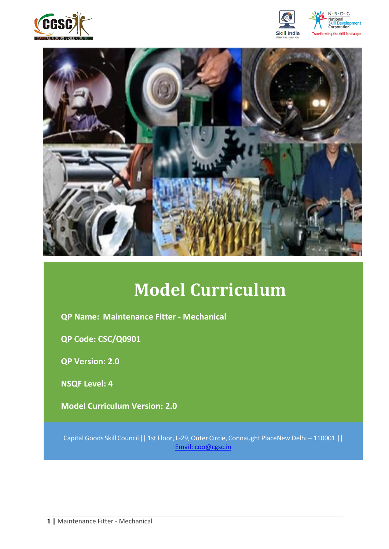







# **Model Curriculum**

**QP Name: Maintenance Fitter - Mechanical**

**QP Code: CSC/Q0901**

**QP Version: 2.0**

**NSQF Level: 4**

**Model Curriculum Version: 2.0** 

Capital Goods Skill Council || 1st Floor, L-29,Outer Circle, Connaught PlaceNew Delhi – 110001 || Email: [coo@cgsc.in](mailto:Email:%20coo@cgsc.in)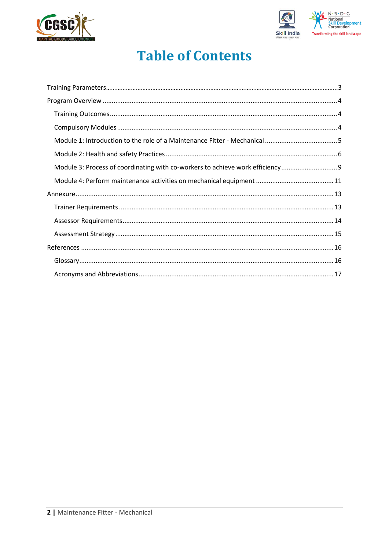



## **Table of Contents**

| Module 3: Process of coordinating with co-workers to achieve work efficiency |  |
|------------------------------------------------------------------------------|--|
|                                                                              |  |
|                                                                              |  |
|                                                                              |  |
|                                                                              |  |
|                                                                              |  |
|                                                                              |  |
|                                                                              |  |
|                                                                              |  |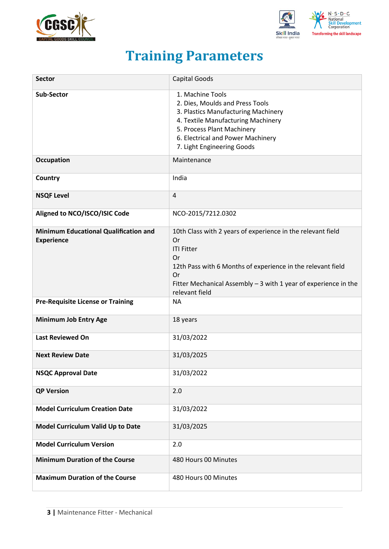



## **Training Parameters**

<span id="page-2-0"></span>

| <b>Sector</b>                                                     | <b>Capital Goods</b>                                                                                                                                                                                                                                    |
|-------------------------------------------------------------------|---------------------------------------------------------------------------------------------------------------------------------------------------------------------------------------------------------------------------------------------------------|
| <b>Sub-Sector</b>                                                 | 1. Machine Tools<br>2. Dies, Moulds and Press Tools<br>3. Plastics Manufacturing Machinery<br>4. Textile Manufacturing Machinery<br>5. Process Plant Machinery<br>6. Electrical and Power Machinery<br>7. Light Engineering Goods                       |
| <b>Occupation</b>                                                 | Maintenance                                                                                                                                                                                                                                             |
| Country                                                           | India                                                                                                                                                                                                                                                   |
| <b>NSQF Level</b>                                                 | 4                                                                                                                                                                                                                                                       |
| Aligned to NCO/ISCO/ISIC Code                                     | NCO-2015/7212.0302                                                                                                                                                                                                                                      |
| <b>Minimum Educational Qualification and</b><br><b>Experience</b> | 10th Class with 2 years of experience in the relevant field<br>Or<br><b>ITI Fitter</b><br>Or<br>12th Pass with 6 Months of experience in the relevant field<br>Or<br>Fitter Mechanical Assembly $-3$ with 1 year of experience in the<br>relevant field |
| <b>Pre-Requisite License or Training</b>                          | <b>NA</b>                                                                                                                                                                                                                                               |
| <b>Minimum Job Entry Age</b>                                      | 18 years                                                                                                                                                                                                                                                |
| <b>Last Reviewed On</b>                                           | 31/03/2022                                                                                                                                                                                                                                              |
| <b>Next Review Date</b>                                           | 31/03/2025                                                                                                                                                                                                                                              |
| <b>NSQC Approval Date</b>                                         | 31/03/2022                                                                                                                                                                                                                                              |
| <b>QP Version</b>                                                 | 2.0                                                                                                                                                                                                                                                     |
| <b>Model Curriculum Creation Date</b>                             | 31/03/2022                                                                                                                                                                                                                                              |
| Model Curriculum Valid Up to Date                                 | 31/03/2025                                                                                                                                                                                                                                              |
| <b>Model Curriculum Version</b>                                   | 2.0                                                                                                                                                                                                                                                     |
| <b>Minimum Duration of the Course</b>                             | 480 Hours 00 Minutes                                                                                                                                                                                                                                    |
| <b>Maximum Duration of the Course</b>                             | 480 Hours 00 Minutes                                                                                                                                                                                                                                    |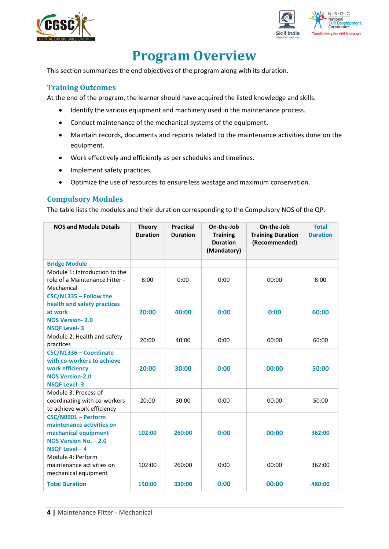



## **Program Overview**

<span id="page-3-0"></span>This section summarizes the end objectives of the program along with its duration.

#### <span id="page-3-1"></span>**Training Outcomes**

<span id="page-3-2"></span>At the end of the program, the learner should have acquired the listed knowledge and skills.

- Identify the various equipment and machinery used in the maintenance process.
- Conduct maintenance of the mechanical systems of the equipment.
- Maintain records, documents and reports related to the maintenance activities done on the equipment.
- Work effectively and efficiently as per schedules and timelines.
- Implement safety practices.
- Optimize the use of resources to ensure less wastage and maximum conservation.

#### **Compulsory Modules**

The table lists the modules and their duration corresponding to the Compulsory NOS of the QP.

| <b>NOS and Module Details</b>                                                                                            | <b>Theory</b><br><b>Duration</b> | <b>Practical</b><br><b>Duration</b> | On-the-Job<br><b>Training</b><br><b>Duration</b><br>(Mandatory) | On-the-Job<br><b>Training Duration</b><br>(Recommended) | <b>Total</b><br><b>Duration</b> |
|--------------------------------------------------------------------------------------------------------------------------|----------------------------------|-------------------------------------|-----------------------------------------------------------------|---------------------------------------------------------|---------------------------------|
| <b>Bridge Module</b>                                                                                                     |                                  |                                     |                                                                 |                                                         |                                 |
| Module 1: Introduction to the<br>role of a Maintenance Fitter -<br>Mechanical                                            | 8:00                             | 0:00                                | 0:00                                                            | 00:00                                                   | 8:00                            |
| CSC/N1335 - Follow the<br>health and safety practices<br>at work<br><b>NOS Version-2.0</b><br><b>NSQF Level-3</b>        | 20:00                            | 40:00                               | 0:00                                                            | 0:00                                                    | 60:00                           |
| Module 2: Health and safety<br>practices                                                                                 | 20:00                            | 40:00                               | 0:00                                                            | 00:00                                                   | 60:00                           |
| CSC/N1336 - Coordinate<br>with co-workers to achieve<br>work efficiency<br><b>NOS Version-2.0</b><br><b>NSQF Level-3</b> | 20:00                            | 30:00                               | 0:00                                                            | 00:00                                                   | 50:00                           |
| Module 3: Process of<br>coordinating with co-workers<br>to achieve work efficiency                                       | 20:00                            | 30:00                               | 0:00                                                            | 00:00                                                   | 50:00                           |
| CSC/N0901 - Perform<br>maintenance activities on<br>mechanical equipment<br>NOS Version No. - 2.0<br>NSQF Level - 4      | 102:00                           | 260:00                              | 0:00                                                            | 00:00                                                   | 362:00                          |
| Module 4: Perform<br>maintenance activities on<br>mechanical equipment                                                   | 102:00                           | 260:00                              | 0:00                                                            | 00:00                                                   | 362:00                          |
| <b>Total Duration</b>                                                                                                    | 150:00                           | 330:00                              | 0:00                                                            | 00:00                                                   | 480:00                          |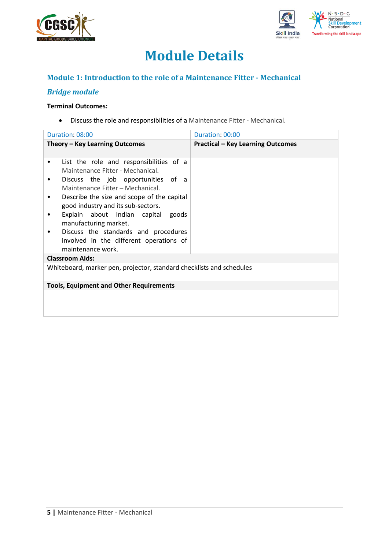



## **Module Details**

### **Module 1: Introduction to the role of a Maintenance Fitter - Mechanical**

### *Bridge module*

#### **Terminal Outcomes:**

• Discuss the role and responsibilities of a Maintenance Fitter - Mechanical.

| Duration: 08:00                                                                                                                                                                                                                                                                                                                                                                                                                      | Duration: 00:00                          |
|--------------------------------------------------------------------------------------------------------------------------------------------------------------------------------------------------------------------------------------------------------------------------------------------------------------------------------------------------------------------------------------------------------------------------------------|------------------------------------------|
| Theory - Key Learning Outcomes                                                                                                                                                                                                                                                                                                                                                                                                       | <b>Practical - Key Learning Outcomes</b> |
| List the role and responsibilities of a<br>٠<br>Maintenance Fitter - Mechanical.<br>Discuss the job opportunities of a<br>٠<br>Maintenance Fitter - Mechanical.<br>Describe the size and scope of the capital<br>٠<br>good industry and its sub-sectors.<br>Explain about Indian capital goods<br>٠<br>manufacturing market.<br>Discuss the standards and procedures<br>involved in the different operations of<br>maintenance work. |                                          |
| <b>Classroom Aids:</b>                                                                                                                                                                                                                                                                                                                                                                                                               |                                          |
| Whiteboard, marker pen, projector, standard checklists and schedules                                                                                                                                                                                                                                                                                                                                                                 |                                          |
| <b>Tools, Equipment and Other Requirements</b>                                                                                                                                                                                                                                                                                                                                                                                       |                                          |
|                                                                                                                                                                                                                                                                                                                                                                                                                                      |                                          |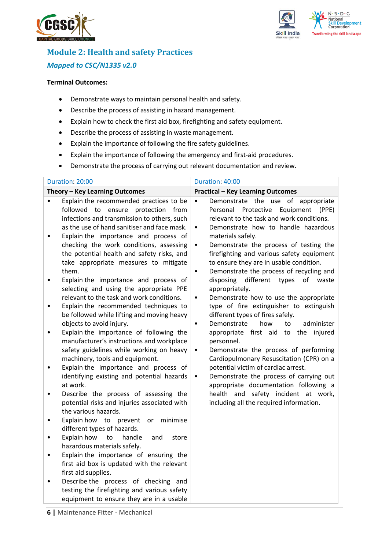



## **Module 2: Health and safety Practices** *Mapped to CSC/N1335 v2.0*

#### **Terminal Outcomes:**

- Demonstrate ways to maintain personal health and safety.
- Describe the process of assisting in hazard management.
- Explain how to check the first aid box, firefighting and safety equipment.
- Describe the process of assisting in waste management.
- Explain the importance of following the fire safety guidelines.
- Explain the importance of following the emergency and first-aid procedures.
- Demonstrate the process of carrying out relevant documentation and review.

| Duration: 20:00                                                                                                                                                                                                                                                                                                                                                                                                                                                                                                                                                                                                                                                                                                                                                                                                                                                                                                                                                                                                                                                                                                                                                                                                                                                                                                                                                                                                                                                                                                                             | Duration: 40:00                                                                                                                                                                                                                                                                                                                                                                                                                                                                                                                                                                                                                                                                                                                                                                                                                                                                                                                                                                                                                                                                     |
|---------------------------------------------------------------------------------------------------------------------------------------------------------------------------------------------------------------------------------------------------------------------------------------------------------------------------------------------------------------------------------------------------------------------------------------------------------------------------------------------------------------------------------------------------------------------------------------------------------------------------------------------------------------------------------------------------------------------------------------------------------------------------------------------------------------------------------------------------------------------------------------------------------------------------------------------------------------------------------------------------------------------------------------------------------------------------------------------------------------------------------------------------------------------------------------------------------------------------------------------------------------------------------------------------------------------------------------------------------------------------------------------------------------------------------------------------------------------------------------------------------------------------------------------|-------------------------------------------------------------------------------------------------------------------------------------------------------------------------------------------------------------------------------------------------------------------------------------------------------------------------------------------------------------------------------------------------------------------------------------------------------------------------------------------------------------------------------------------------------------------------------------------------------------------------------------------------------------------------------------------------------------------------------------------------------------------------------------------------------------------------------------------------------------------------------------------------------------------------------------------------------------------------------------------------------------------------------------------------------------------------------------|
| Theory - Key Learning Outcomes                                                                                                                                                                                                                                                                                                                                                                                                                                                                                                                                                                                                                                                                                                                                                                                                                                                                                                                                                                                                                                                                                                                                                                                                                                                                                                                                                                                                                                                                                                              | <b>Practical - Key Learning Outcomes</b>                                                                                                                                                                                                                                                                                                                                                                                                                                                                                                                                                                                                                                                                                                                                                                                                                                                                                                                                                                                                                                            |
| Explain the recommended practices to be<br>$\bullet$<br>followed to ensure protection from<br>infections and transmission to others, such<br>as the use of hand sanitiser and face mask.<br>Explain the importance and process of<br>$\bullet$<br>checking the work conditions, assessing<br>the potential health and safety risks, and<br>take appropriate measures to mitigate<br>them.<br>Explain the importance and process of<br>$\bullet$<br>selecting and using the appropriate PPE<br>relevant to the task and work conditions.<br>Explain the recommended techniques to<br>$\bullet$<br>be followed while lifting and moving heavy<br>objects to avoid injury.<br>Explain the importance of following the<br>٠<br>manufacturer's instructions and workplace<br>safety guidelines while working on heavy<br>machinery, tools and equipment.<br>Explain the importance and process of<br>$\bullet$<br>identifying existing and potential hazards<br>at work.<br>Describe the process of assessing the<br>$\bullet$<br>potential risks and injuries associated with<br>the various hazards.<br>Explain how to prevent<br>or<br>minimise<br>٠<br>different types of hazards.<br>Explain how<br>handle<br>to<br>and<br>store<br>$\bullet$<br>hazardous materials safely.<br>Explain the importance of ensuring the<br>$\bullet$<br>first aid box is updated with the relevant<br>first aid supplies.<br>Describe the process of checking and<br>testing the firefighting and various safety<br>equipment to ensure they are in a usable | Demonstrate the use of appropriate<br>$\bullet$<br>Equipment<br>Personal<br>Protective<br>(PPE)<br>relevant to the task and work conditions.<br>Demonstrate how to handle hazardous<br>$\bullet$<br>materials safely.<br>Demonstrate the process of testing the<br>$\bullet$<br>firefighting and various safety equipment<br>to ensure they are in usable condition.<br>Demonstrate the process of recycling and<br>$\bullet$<br>disposing<br>different<br>types<br>of<br>waste<br>appropriately.<br>Demonstrate how to use the appropriate<br>$\bullet$<br>type of fire extinguisher to extinguish<br>different types of fires safely.<br>how<br>administer<br>Demonstrate<br>to<br>$\bullet$<br>appropriate first aid to the<br>injured<br>personnel.<br>Demonstrate the process of performing<br>$\bullet$<br>Cardiopulmonary Resuscitation (CPR) on a<br>potential victim of cardiac arrest.<br>Demonstrate the process of carrying out<br>$\bullet$<br>appropriate documentation following a<br>health and safety incident at work,<br>including all the required information. |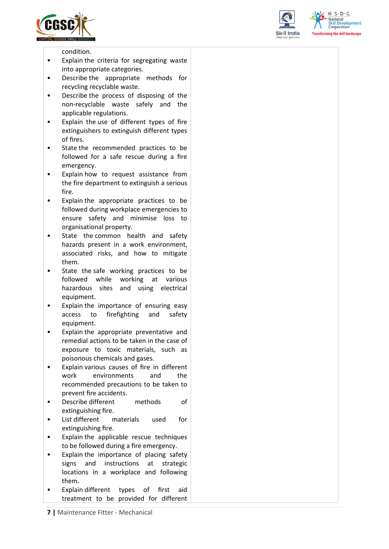





condition.

- Explain the criteria for segregating waste into appropriate categories.
- Describe the appropriate methods for recycling recyclable waste.
- Describe the process of disposing of the non-recyclable waste safely and the applicable regulations.
- Explain the use of different types of fire extinguishers to extinguish different types of fires.
- State the recommended practices to be followed for a safe rescue during a fire emergency.
- Explain how to request assistance from the fire department to extinguish a serious fire.
- Explain the appropriate practices to be followed during workplace emergencies to ensure safety and minimise loss to organisational property.
- State the common health and safety hazards present in a work environment, associated risks, and how to mitigate them.
- State the safe working practices to be followed while working at various hazardous sites and using electrical equipment.
- Explain the importance of ensuring easy access to firefighting and safety equipment.
- Explain the appropriate preventative and remedial actions to be taken in the case of exposure to toxic materials, such as poisonous chemicals and gases.
- Explain various causes of fire in different work environments and the recommended precautions to be taken to prevent fire accidents.
- Describe different methods of extinguishing fire.
- List different materials used for extinguishing fire.
- Explain the applicable rescue techniques to be followed during a fire emergency.
- Explain the importance of placing safety signs and instructions at strategic locations in a workplace and following them.
- Explain different types of first aid treatment to be provided for different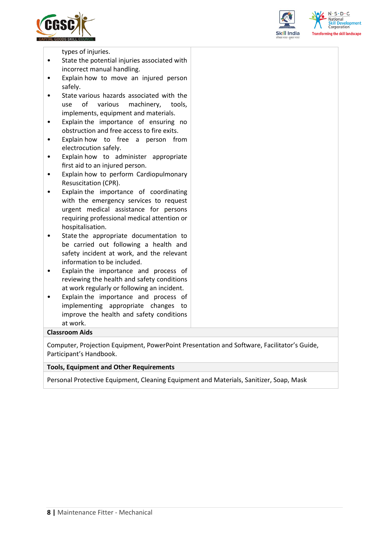





types of injuries.

- State the potential injuries associated with incorrect manual handling.
- Explain how to move an injured person safely.
- State various hazards associated with the use of various machinery, tools, implements, equipment and materials.
- Explain the importance of ensuring no obstruction and free access to fire exits.
- Explain how to free a person from electrocution safely.
- Explain how to administer appropriate first aid to an injured person.
- Explain how to perform Cardiopulmonary Resuscitation (CPR).
- Explain the importance of coordinating with the emergency services to request urgent medical assistance for persons requiring professional medical attention or hospitalisation.
- State the appropriate documentation to be carried out following a health and safety incident at work, and the relevant information to be included.
- Explain the importance and process of reviewing the health and safety conditions at work regularly or following an incident.
- Explain the importance and process of implementing appropriate changes to improve the health and safety conditions at work.

#### **Classroom Aids**

Computer, Projection Equipment, PowerPoint Presentation and Software, Facilitator's Guide, Participant's Handbook.

#### **Tools, Equipment and Other Requirements**

Personal Protective Equipment, Cleaning Equipment and Materials, Sanitizer, Soap, Mask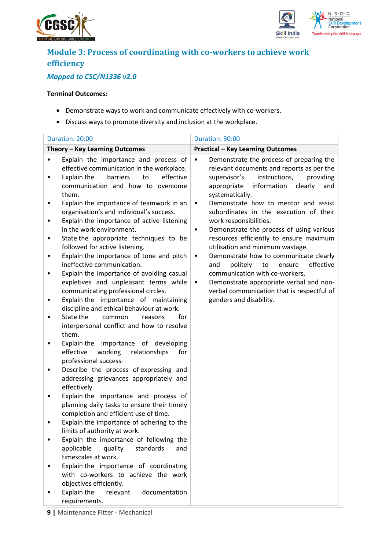



## **Module 3: Process of coordinating with co-workers to achieve work efficiency**

## *Mapped to CSC/N1336 v2.0*

#### **Terminal Outcomes:**

- Demonstrate ways to work and communicate effectively with co-workers.
- Discuss ways to promote diversity and inclusion at the workplace.

|        | Duration: 20:00                                                                                                                                                                | Duration: 30:00                                                                                                                                                                                                     |
|--------|--------------------------------------------------------------------------------------------------------------------------------------------------------------------------------|---------------------------------------------------------------------------------------------------------------------------------------------------------------------------------------------------------------------|
|        | Theory - Key Learning Outcomes                                                                                                                                                 | <b>Practical - Key Learning Outcomes</b>                                                                                                                                                                            |
|        | Explain the importance and process of<br>effective communication in the workplace.<br>to<br>effective<br>Explain the<br>barriers<br>communication and how to overcome<br>them. | Demonstrate the process of preparing the<br>$\bullet$<br>relevant documents and reports as per the<br>instructions,<br>providing<br>supervisor's<br>information<br>appropriate<br>clearly<br>and<br>systematically. |
| ٠      | Explain the importance of teamwork in an<br>organisation's and individual's success.<br>Explain the importance of active listening<br>in the work environment.                 | Demonstrate how to mentor and assist<br>$\bullet$<br>subordinates in the execution of their<br>work responsibilities.<br>Demonstrate the process of using various<br>٠                                              |
| ٠<br>٠ | State the appropriate techniques to be<br>followed for active listening.<br>Explain the importance of tone and pitch                                                           | resources efficiently to ensure maximum<br>utilisation and minimum wastage.<br>Demonstrate how to communicate clearly<br>$\bullet$                                                                                  |
|        | ineffective communication.<br>Explain the importance of avoiding casual<br>expletives and unpleasant terms while<br>communicating professional circles.                        | politely<br>to<br>ensure<br>effective<br>and<br>communication with co-workers.<br>Demonstrate appropriate verbal and non-<br>$\bullet$<br>verbal communication that is respectful of                                |
|        | Explain the importance of maintaining<br>discipline and ethical behaviour at work.<br>State the<br>for<br>common<br>reasons                                                    | genders and disability.                                                                                                                                                                                             |
|        | interpersonal conflict and how to resolve<br>them.<br>Explain the importance of developing                                                                                     |                                                                                                                                                                                                                     |
| ٠      | effective<br>working<br>relationships<br>for<br>professional success.<br>Describe the process of expressing and                                                                |                                                                                                                                                                                                                     |
|        | addressing grievances appropriately and<br>effectively.                                                                                                                        |                                                                                                                                                                                                                     |
|        | Explain the importance and process of<br>planning daily tasks to ensure their timely<br>completion and efficient use of time.                                                  |                                                                                                                                                                                                                     |
|        | Explain the importance of adhering to the<br>limits of authority at work.<br>Explain the importance of following the                                                           |                                                                                                                                                                                                                     |
|        | applicable<br>quality<br>standards<br>and<br>timescales at work.                                                                                                               |                                                                                                                                                                                                                     |
|        | Explain the importance of coordinating<br>with co-workers to achieve the work<br>objectives efficiently.                                                                       |                                                                                                                                                                                                                     |
|        | Explain the<br>relevant<br>documentation<br>requirements.                                                                                                                      |                                                                                                                                                                                                                     |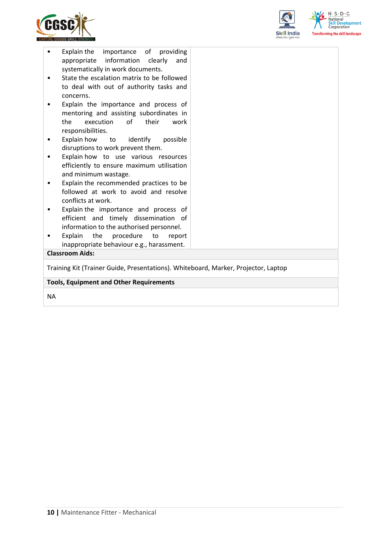



| <b>Tools, Equipment and Other Requirements</b>                                           |  |  |  |  |
|------------------------------------------------------------------------------------------|--|--|--|--|
| Training Kit (Trainer Guide, Presentations). Whiteboard, Marker, Projector, Laptop       |  |  |  |  |
| <b>Classroom Aids:</b>                                                                   |  |  |  |  |
| Explain<br>the<br>procedure<br>to<br>report<br>inappropriate behaviour e.g., harassment. |  |  |  |  |
| information to the authorised personnel.                                                 |  |  |  |  |
| Explain the importance and process of<br>efficient and timely dissemination of           |  |  |  |  |
| conflicts at work.                                                                       |  |  |  |  |
| Explain the recommended practices to be<br>followed at work to avoid and resolve         |  |  |  |  |
| efficiently to ensure maximum utilisation<br>and minimum wastage.                        |  |  |  |  |
| Explain how to use various resources                                                     |  |  |  |  |
| Explain how<br>to identify<br>possible<br>disruptions to work prevent them.              |  |  |  |  |
| responsibilities.                                                                        |  |  |  |  |
| execution<br>of<br>their<br>the<br>work                                                  |  |  |  |  |
| Explain the importance and process of<br>mentoring and assisting subordinates in         |  |  |  |  |
| concerns.                                                                                |  |  |  |  |
| State the escalation matrix to be followed<br>to deal with out of authority tasks and    |  |  |  |  |
| systematically in work documents.                                                        |  |  |  |  |
| Explain the<br>importance of providing<br>information<br>appropriate<br>clearly<br>and   |  |  |  |  |
|                                                                                          |  |  |  |  |

NA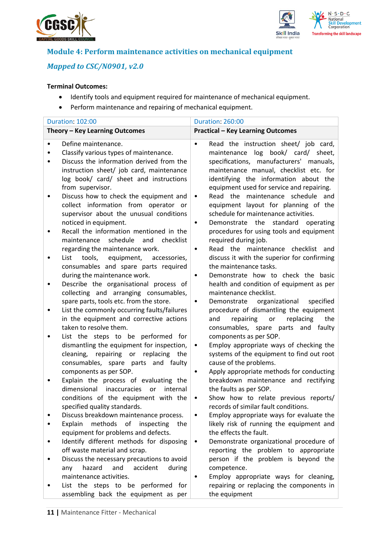



### **Module 4: Perform maintenance activities on mechanical equipment**

### *Mapped to CSC/N0901, v2.0*

#### **Terminal Outcomes:**

- Identify tools and equipment required for maintenance of mechanical equipment.
- Perform maintenance and repairing of mechanical equipment.

|   | <b>Duration: 102:00</b>                                                                                                                                                                  | <b>Duration: 260:00</b>                                                                                                                                                                                |
|---|------------------------------------------------------------------------------------------------------------------------------------------------------------------------------------------|--------------------------------------------------------------------------------------------------------------------------------------------------------------------------------------------------------|
|   | Theory - Key Learning Outcomes                                                                                                                                                           | <b>Practical - Key Learning Outcomes</b>                                                                                                                                                               |
| ٠ | Define maintenance.<br>Classify various types of maintenance.                                                                                                                            | Read the instruction sheet/ job card,<br>$\bullet$<br>maintenance log book/ card/ sheet,                                                                                                               |
|   | Discuss the information derived from the<br>instruction sheet/ job card, maintenance<br>log book/ card/ sheet and instructions<br>from supervisor.                                       | specifications, manufacturers' manuals,<br>maintenance manual, checklist etc. for<br>identifying the information about the<br>equipment used for service and repairing.                                |
|   | Discuss how to check the equipment and<br>collect information from operator or<br>supervisor about the unusual conditions<br>noticed in equipment.                                       | Read the maintenance schedule<br>and<br>$\bullet$<br>equipment layout for planning of the<br>schedule for maintenance activities.<br>Demonstrate the standard<br>operating<br>$\bullet$                |
|   | Recall the information mentioned in the<br>schedule<br>maintenance<br>and<br>checklist<br>regarding the maintenance work.                                                                | procedures for using tools and equipment<br>required during job.<br>Read the maintenance checklist and<br>$\bullet$                                                                                    |
|   | List<br>tools, equipment, accessories,<br>consumables and spare parts required<br>during the maintenance work.                                                                           | discuss it with the superior for confirming<br>the maintenance tasks.<br>Demonstrate how to check the basic<br>$\bullet$                                                                               |
| ٠ | Describe the organisational process of<br>collecting and arranging consumables,                                                                                                          | health and condition of equipment as per<br>maintenance checklist.                                                                                                                                     |
|   | spare parts, tools etc. from the store.<br>List the commonly occurring faults/failures<br>in the equipment and corrective actions<br>taken to resolve them.                              | Demonstrate<br>organizational<br>specified<br>$\bullet$<br>procedure of dismantling the equipment<br>repairing<br>replacing<br>the<br>and<br>or<br>consumables, spare parts and faulty                 |
|   | List the steps to be performed for<br>dismantling the equipment for inspection,<br>cleaning, repairing or replacing the<br>consumables, spare parts and faulty<br>components as per SOP. | components as per SOP.<br>Employ appropriate ways of checking the<br>$\bullet$<br>systems of the equipment to find out root<br>cause of the problems.<br>Apply appropriate methods for conducting<br>٠ |
|   | Explain the process of evaluating the<br>dimensional<br>inaccuracies<br>internal<br>or<br>conditions of the equipment with the<br>specified quality standards.                           | breakdown maintenance and rectifying<br>the faults as per SOP.<br>Show how to relate previous reports/<br>$\bullet$<br>records of similar fault conditions.                                            |
|   | Discuss breakdown maintenance process.                                                                                                                                                   | Employ appropriate ways for evaluate the                                                                                                                                                               |
|   | methods<br>of<br>Explain<br>inspecting<br>the<br>equipment for problems and defects.                                                                                                     | likely risk of running the equipment and<br>the effects the fault.                                                                                                                                     |
|   | Identify different methods for disposing<br>off waste material and scrap.                                                                                                                | Demonstrate organizational procedure of<br>$\bullet$<br>reporting the problem to appropriate                                                                                                           |
|   | Discuss the necessary precautions to avoid<br>hazard<br>and<br>accident<br>during<br>any<br>maintenance activities.                                                                      | person if the problem is beyond the<br>competence.<br>Employ appropriate ways for cleaning,                                                                                                            |
|   | List the steps to be performed for<br>assembling back the equipment as per                                                                                                               | repairing or replacing the components in<br>the equipment                                                                                                                                              |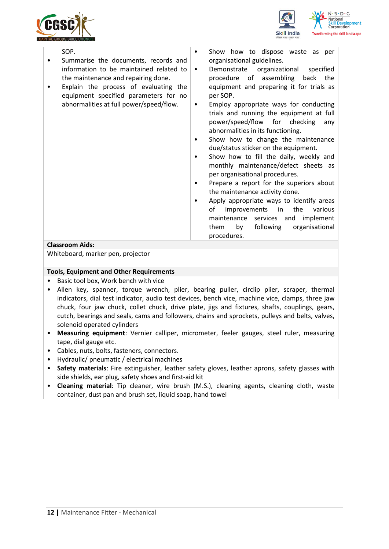



| SOP.<br>Show how to dispose waste as per<br>٠<br>organisational guidelines.<br>Summarise the documents, records and<br>information to be maintained related to<br>Demonstrate organizational<br>specified<br>$\bullet$<br>back the<br>the maintenance and repairing done.<br>procedure of assembling<br>Explain the process of evaluating the<br>equipment and preparing it for trials as<br>equipment specified parameters for no<br>per SOP.<br>abnormalities at full power/speed/flow.<br>Employ appropriate ways for conducting<br>$\bullet$<br>trials and running the equipment at full<br>power/speed/flow for checking<br>any<br>abnormalities in its functioning.<br>Show how to change the maintenance<br>due/status sticker on the equipment.<br>Show how to fill the daily, weekly and<br>monthly maintenance/defect sheets as<br>per organisational procedures.<br>Prepare a report for the superiors about<br>the maintenance activity done.<br>Apply appropriate ways to identify areas<br>improvements in<br>the<br>of<br>various<br>maintenance services and implement<br>following<br>organisational<br>them<br>by<br>procedures.<br>Classroom Aids: |  |
|-----------------------------------------------------------------------------------------------------------------------------------------------------------------------------------------------------------------------------------------------------------------------------------------------------------------------------------------------------------------------------------------------------------------------------------------------------------------------------------------------------------------------------------------------------------------------------------------------------------------------------------------------------------------------------------------------------------------------------------------------------------------------------------------------------------------------------------------------------------------------------------------------------------------------------------------------------------------------------------------------------------------------------------------------------------------------------------------------------------------------------------------------------------------------|--|
|                                                                                                                                                                                                                                                                                                                                                                                                                                                                                                                                                                                                                                                                                                                                                                                                                                                                                                                                                                                                                                                                                                                                                                       |  |

#### **Classroom Aids:**

Whiteboard, marker pen, projector

#### **Tools, Equipment and Other Requirements**

- Basic tool box, Work bench with vice
- Allen key, spanner, torque wrench, plier, bearing puller, circlip plier, scraper, thermal indicators, dial test indicator, audio test devices, bench vice, machine vice, clamps, three jaw chuck, four jaw chuck, collet chuck, drive plate, jigs and fixtures, shafts, couplings, gears, cutch, bearings and seals, cams and followers, chains and sprockets, pulleys and belts, valves, solenoid operated cylinders
- **Measuring equipment**: Vernier calliper, micrometer, feeler gauges, steel ruler, measuring tape, dial gauge etc.
- Cables, nuts, bolts, fasteners, connectors.
- Hydraulic/ pneumatic / electrical machines
- **Safety materials**: Fire extinguisher, leather safety gloves, leather aprons, safety glasses with side shields, ear plug, safety shoes and first-aid kit
- **Cleaning material**: Tip cleaner, wire brush (M.S.), cleaning agents, cleaning cloth, waste container, dust pan and brush set, liquid soap, hand towel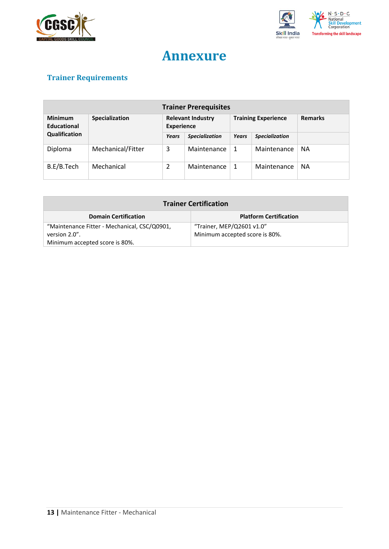



## **Annexure**

## <span id="page-12-0"></span>**Trainer Requirements**

| <b>Trainer Prerequisites</b>                    |                   |                                               |             |                            |             |                |
|-------------------------------------------------|-------------------|-----------------------------------------------|-------------|----------------------------|-------------|----------------|
| <b>Minimum</b><br>Specialization<br>Educational |                   | <b>Relevant Industry</b><br><b>Experience</b> |             | <b>Training Experience</b> |             | <b>Remarks</b> |
| Qualification                                   | Years             | <b>Specialization</b>                         | Years       | <b>Specialization</b>      |             |                |
| Diploma                                         | Mechanical/Fitter | 3                                             | Maintenance | 1                          | Maintenance | <b>NA</b>      |
| B.E/B.Tech                                      | Mechanical        | 2                                             | Maintenance | 1                          | Maintenance | <b>NA</b>      |

| <b>Trainer Certification</b>                                 |                                |  |  |  |
|--------------------------------------------------------------|--------------------------------|--|--|--|
| <b>Platform Certification</b><br><b>Domain Certification</b> |                                |  |  |  |
| "Maintenance Fitter - Mechanical, CSC/Q0901,                 | "Trainer, MEP/Q2601 v1.0"      |  |  |  |
| version 2.0".                                                | Minimum accepted score is 80%. |  |  |  |
| Minimum accepted score is 80%.                               |                                |  |  |  |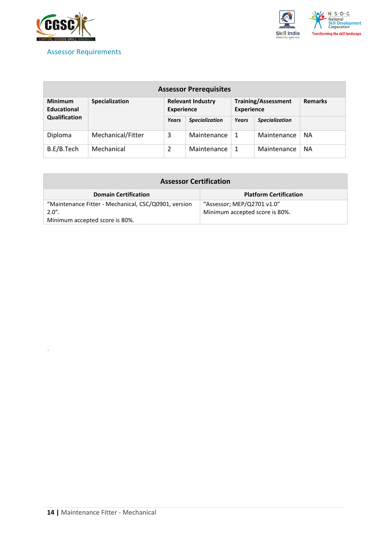

*`*

### <span id="page-13-0"></span>Assessor Requirements



| <b>Assessor Prerequisites</b>        |                       |       |                                               |       |                                                 |                |
|--------------------------------------|-----------------------|-------|-----------------------------------------------|-------|-------------------------------------------------|----------------|
| <b>Minimum</b><br><b>Educational</b> | <b>Specialization</b> |       | <b>Relevant Industry</b><br><b>Experience</b> |       | <b>Training/Assessment</b><br><b>Experience</b> | <b>Remarks</b> |
| Qualification                        |                       | Years | <b>Specialization</b>                         | Years | <b>Specialization</b>                           |                |
| Diploma                              | Mechanical/Fitter     | 3     | Maintenance                                   | -1    | Maintenance                                     | NА             |
| B.E/B.Tech                           | Mechanical            | 2     | Maintenance                                   | 1     | Maintenance                                     | NА             |

| <b>Assessor Certification</b>                                    |                                                              |  |
|------------------------------------------------------------------|--------------------------------------------------------------|--|
| <b>Domain Certification</b>                                      | <b>Platform Certification</b>                                |  |
| "Maintenance Fitter - Mechanical, CSC/Q0901, version<br>$2.0"$ . | "Assessor; MEP/Q2701 v1.0"<br>Minimum accepted score is 80%. |  |
| Minimum accepted score is 80%.                                   |                                                              |  |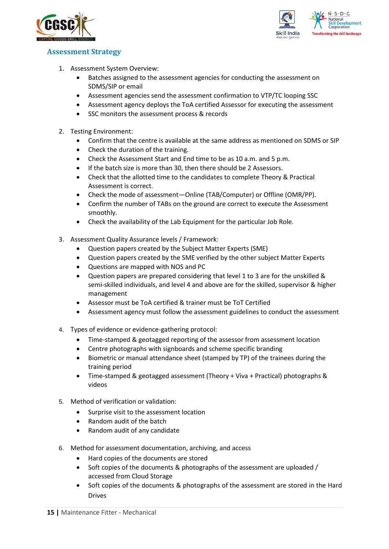



#### <span id="page-14-0"></span>**Assessment Strategy**

- 1. Assessment System Overview:
	- Batches assigned to the assessment agencies for conducting the assessment on SDMS/SIP or email
	- Assessment agencies send the assessment confirmation to VTP/TC looping SSC
	- Assessment agency deploys the ToA certified Assessor for executing the assessment
	- SSC monitors the assessment process & records
- 2. Testing Environment:
	- Confirm that the centre is available at the same address as mentioned on SDMS or SIP
	- Check the duration of the training.
	- Check the Assessment Start and End time to be as 10 a.m. and 5 p.m.
	- If the batch size is more than 30, then there should be 2 Assessors.
	- Check that the allotted time to the candidates to complete Theory & Practical Assessment is correct.
	- Check the mode of assessment—Online (TAB/Computer) or Offline (OMR/PP).
	- Confirm the number of TABs on the ground are correct to execute the Assessment smoothly.
	- Check the availability of the Lab Equipment for the particular Job Role.
- 3. Assessment Quality Assurance levels / Framework:
	- Question papers created by the Subject Matter Experts (SME)
	- Question papers created by the SME verified by the other subject Matter Experts
	- Questions are mapped with NOS and PC
	- Question papers are prepared considering that level 1 to 3 are for the unskilled & semi-skilled individuals, and level 4 and above are for the skilled, supervisor & higher management
	- Assessor must be ToA certified & trainer must be ToT Certified
	- Assessment agency must follow the assessment guidelines to conduct the assessment
- 4. Types of evidence or evidence-gathering protocol:
	- Time-stamped & geotagged reporting of the assessor from assessment location
	- Centre photographs with signboards and scheme specific branding
	- Biometric or manual attendance sheet (stamped by TP) of the trainees during the training period
	- Time-stamped & geotagged assessment (Theory + Viva + Practical) photographs & videos
- 5. Method of verification or validation:
	- Surprise visit to the assessment location
	- Random audit of the batch
	- Random audit of any candidate
- 6. Method for assessment documentation, archiving, and access
	- Hard copies of the documents are stored
	- Soft copies of the documents & photographs of the assessment are uploaded / accessed from Cloud Storage
	- Soft copies of the documents & photographs of the assessment are stored in the Hard Drives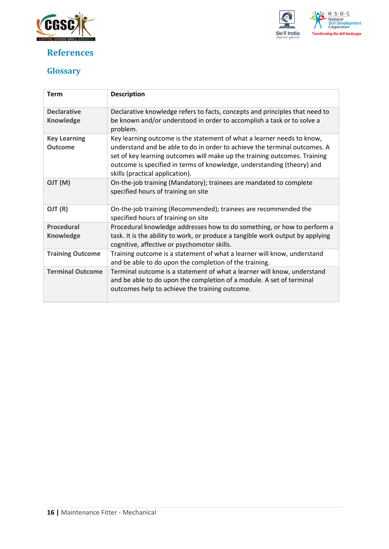

## <span id="page-15-0"></span>**References**



## <span id="page-15-1"></span>**Glossary**

| <b>Term</b>                            | <b>Description</b>                                                                                                                                                                                                                                                                                                                            |
|----------------------------------------|-----------------------------------------------------------------------------------------------------------------------------------------------------------------------------------------------------------------------------------------------------------------------------------------------------------------------------------------------|
| <b>Declarative</b><br><b>Knowledge</b> | Declarative knowledge refers to facts, concepts and principles that need to<br>be known and/or understood in order to accomplish a task or to solve a<br>problem.                                                                                                                                                                             |
| <b>Key Learning</b><br><b>Outcome</b>  | Key learning outcome is the statement of what a learner needs to know,<br>understand and be able to do in order to achieve the terminal outcomes. A<br>set of key learning outcomes will make up the training outcomes. Training<br>outcome is specified in terms of knowledge, understanding (theory) and<br>skills (practical application). |
| (M) TLO                                | On-the-job training (Mandatory); trainees are mandated to complete<br>specified hours of training on site                                                                                                                                                                                                                                     |
| OJT (R)                                | On-the-job training (Recommended); trainees are recommended the<br>specified hours of training on site                                                                                                                                                                                                                                        |
| <b>Procedural</b><br><b>Knowledge</b>  | Procedural knowledge addresses how to do something, or how to perform a<br>task. It is the ability to work, or produce a tangible work output by applying<br>cognitive, affective or psychomotor skills.                                                                                                                                      |
| <b>Training Outcome</b>                | Training outcome is a statement of what a learner will know, understand<br>and be able to do upon the completion of the training.                                                                                                                                                                                                             |
| <b>Terminal Outcome</b>                | Terminal outcome is a statement of what a learner will know, understand<br>and be able to do upon the completion of a module. A set of terminal<br>outcomes help to achieve the training outcome.                                                                                                                                             |